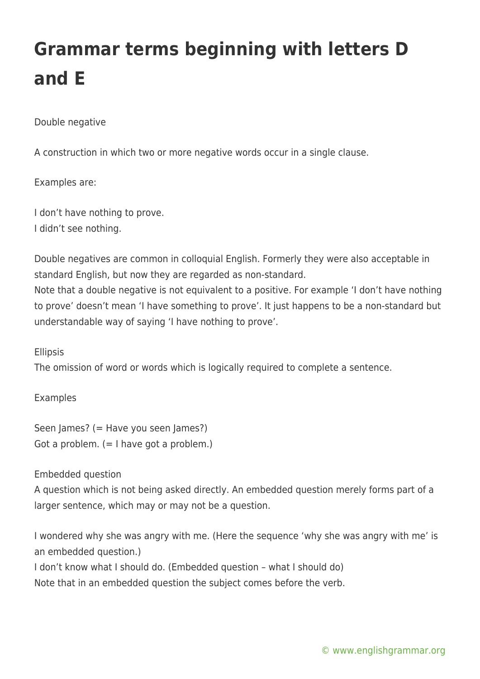# **Grammar terms beginning with letters D and E**

### Double negative

A construction in which two or more negative words occur in a single clause.

#### Examples are:

I don't have nothing to prove. I didn't see nothing.

Double negatives are common in colloquial English. Formerly they were also acceptable in standard English, but now they are regarded as non-standard. Note that a double negative is not equivalent to a positive. For example 'I don't have nothing to prove' doesn't mean 'I have something to prove'. It just happens to be a non-standard but understandable way of saying 'I have nothing to prove'.

#### Ellipsis

The omission of word or words which is logically required to complete a sentence.

#### Examples

Seen James? (= Have you seen James?) Got a problem.  $(= I \text{ have got a problem.})$ 

#### Embedded question

A question which is not being asked directly. An embedded question merely forms part of a larger sentence, which may or may not be a question.

I wondered why she was angry with me. (Here the sequence 'why she was angry with me' is an embedded question.)

I don't know what I should do. (Embedded question – what I should do)

Note that in an embedded question the subject comes before the verb.